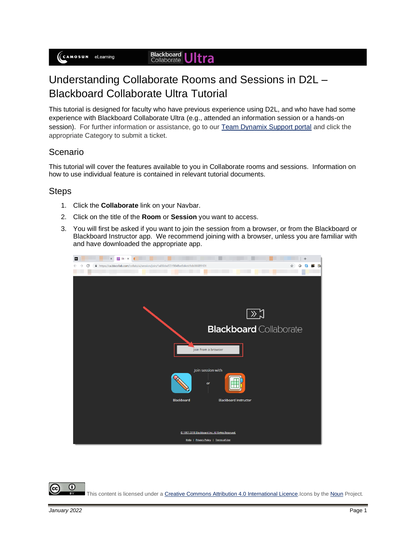## Understanding Collaborate Rooms and Sessions in D2L – Blackboard Collaborate Ultra Tutorial

This tutorial is designed for faculty who have previous experience using D2L, and who have had some experience with Blackboard Collaborate Ultra (e.g., attended an information session or a hands-on session). For further information or assistance, go to our [Team Dynamix Support portal](https://camosun.teamdynamix.com/TDClient/67/Portal/Requests/ServiceCatalog?CategoryID=523) and click the appropriate Category to submit a ticket.

## Scenario

This tutorial will cover the features available to you in Collaborate rooms and sessions. Information on how to use individual feature is contained in relevant tutorial documents.

## **Steps**

- 1. Click the **Collaborate** link on your Navbar.
- 2. Click on the title of the **Room** or **Session** you want to access.
- 3. You will first be asked if you want to join the session from a browser, or from the Blackboard or Blackboard Instructor app. We recommend joining with a browser, unless you are familiar with and have downloaded the appropriate app.



 $\odot$ This content is licensed under [a Creative Commons Attribution 4.0 International Licence.I](https://creativecommons.org/licenses/by/4.0/)cons by th[e Noun](https://creativecommons.org/website-icons/) Project.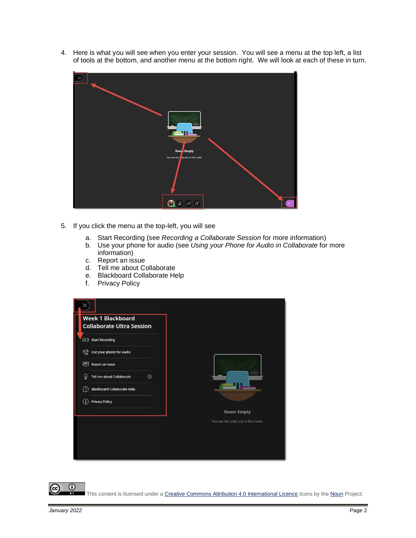4. Here is what you will see when you enter your session. You will see a menu at the top left, a list of tools at the bottom, and another menu at the bottom right. We will look at each of these in turn.

| Roor i Empty<br>You are the <b>b</b> y one in the room.                  |  |
|--------------------------------------------------------------------------|--|
| $\begin{array}{ccc} \varnothing & \varnothing & \varnothing \end{array}$ |  |

- 5. If you click the menu at the top-left, you will see
	- a. Start Recording (see *Recording a Collaborate Session* for more information)
	- b. Use your phone for audio (see *Using your Phone for Audio in Collaborate* for more information)
	- c. Report an issue
	- d. Tell me about Collaborate
	- e. Blackboard Collaborate Help
	- f. Privacy Policy

| <b>o</b> , Start Recording<br>Use your phone for audio<br>Report an issue<br>ℚ<br>Tell me about Collaborate<br>$\odot$<br>٠<br><b>Blackboard Collaborate Help</b><br><b>Privacy Policy</b><br><b>Room Empty</b> |                   | You are the only one in the room. | <b>Week 1 Blackboard</b><br><b>Collaborate Ultra Session</b> |  |
|-----------------------------------------------------------------------------------------------------------------------------------------------------------------------------------------------------------------|-------------------|-----------------------------------|--------------------------------------------------------------|--|
|                                                                                                                                                                                                                 | Q<br>圍<br>$\odot$ |                                   |                                                              |  |
|                                                                                                                                                                                                                 |                   |                                   |                                                              |  |
|                                                                                                                                                                                                                 |                   |                                   |                                                              |  |
|                                                                                                                                                                                                                 |                   |                                   |                                                              |  |
|                                                                                                                                                                                                                 |                   |                                   |                                                              |  |
|                                                                                                                                                                                                                 |                   |                                   |                                                              |  |
|                                                                                                                                                                                                                 |                   |                                   |                                                              |  |

 $_{\odot}$ This content is licensed under [a Creative Commons Attribution 4.0 International Licence.I](https://creativecommons.org/licenses/by/4.0/)cons by th[e Noun](https://creativecommons.org/website-icons/) Project.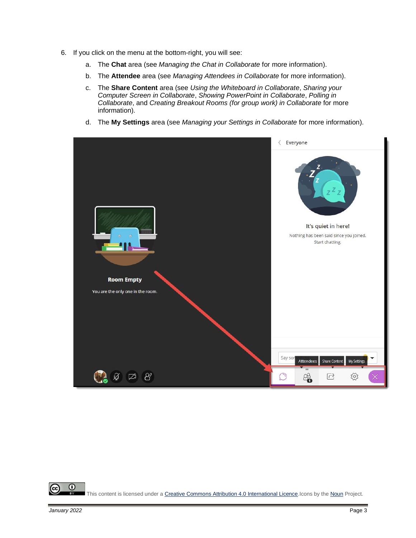- 6. If you click on the menu at the bottom-right, you will see:
	- a. The **Chat** area (see *Managing the Chat in Collaborate* for more information).
	- b. The **Attendee** area (see *Managing Attendees in Collaborate* for more information).
	- c. The **Share Content** area (see *Using the Whiteboard in Collaborate*, *Sharing your Computer Screen in Collaborate*, *Showing PowerPoint in Collaborate*, *Polling in Collaborate*, and *Creating Breakout Rooms (for group work) in Collaborate* for more information).
	- d. The **My Settings** area (see *Managing your Settings in Collaborate* for more information).



 $_{\odot}$ (cc This content is licensed under [a Creative Commons Attribution 4.0 International Licence.I](https://creativecommons.org/licenses/by/4.0/)cons by th[e Noun](https://creativecommons.org/website-icons/) Project.